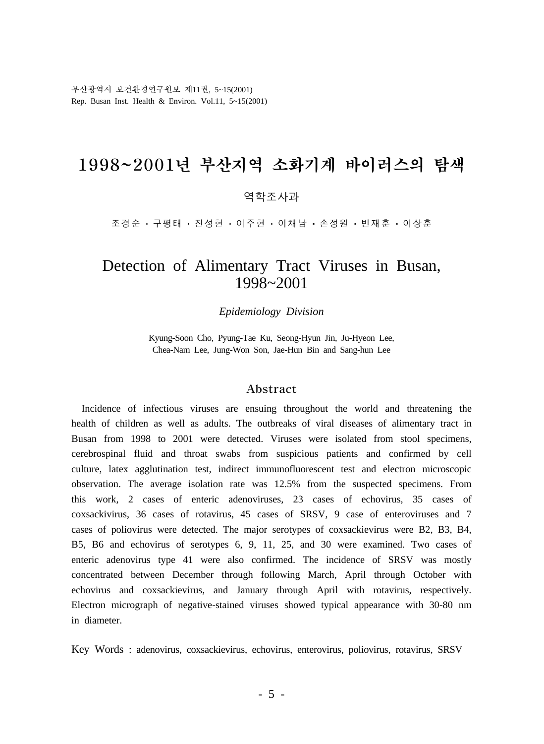부산광역시 보건환경연구원보 제11권, 5~15(2001) Rep. Busan Inst. Health & Environ. Vol.11, 5~15(2001)

# 1998~2001년 부산지역 소화기계 바이러스의 탐색

#### 역학조사과

조경순 • 구평태 • 진성현 • 이주현 • 이채남 • 손정원 • 빈재훈 • 이상훈

### Detection of Alimentary Tract Viruses in Busan, 1998~2001

*Epidemiology Division*

Kyung-Soon Cho, Pyung-Tae Ku, Seong-Hyun Jin, Ju-Hyeon Lee, Chea-Nam Lee, Jung-Won Son, Jae-Hun Bin and Sang-hun Lee

#### Abstract

 Incidence of infectious viruses are ensuing throughout the world and threatening the health of children as well as adults. The outbreaks of viral diseases of alimentary tract in Busan from 1998 to 2001 were detected. Viruses were isolated from stool specimens, cerebrospinal fluid and throat swabs from suspicious patients and confirmed by cell culture, latex agglutination test, indirect immunofluorescent test and electron microscopic observation. The average isolation rate was 12.5% from the suspected specimens. From this work, 2 cases of enteric adenoviruses, 23 cases of echovirus, 35 cases of coxsackivirus, 36 cases of rotavirus, 45 cases of SRSV, 9 case of enteroviruses and 7 cases of poliovirus were detected. The major serotypes of coxsackievirus were B2, B3, B4, B5, B6 and echovirus of serotypes 6, 9, 11, 25, and 30 were examined. Two cases of enteric adenovirus type 41 were also confirmed. The incidence of SRSV was mostly concentrated between December through following March, April through October with echovirus and coxsackievirus, and January through April with rotavirus, respectively. Electron micrograph of negative-stained viruses showed typical appearance with 30-80 nm in diameter.

Key Words : adenovirus, coxsackievirus, echovirus, enterovirus, poliovirus, rotavirus, SRSV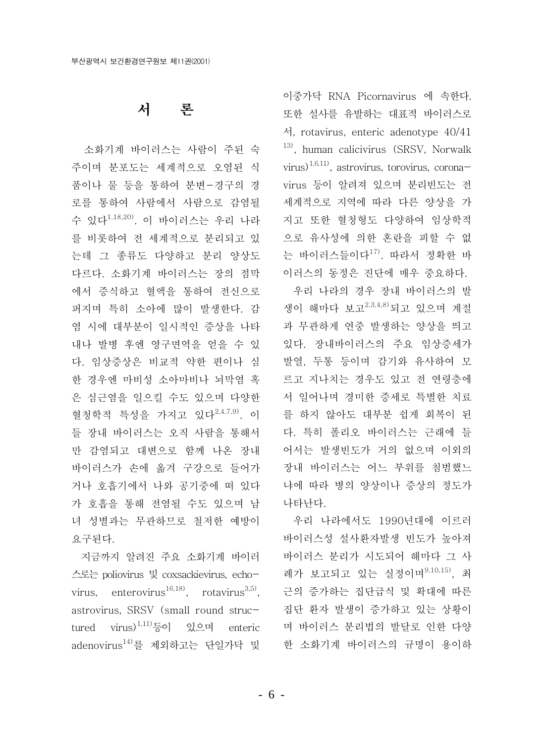#### 서 론

소화기계 바이러스는 사람이 주된 숙 주이며 분포도는 세계적으로 오염된 식 품이나 물 등을 통하여 부변-경구의 경 로를 통하여 사람에서 사람으로 감염될 수 있다<sup>1,18,20)</sup>. 이 바이러스는 우리 나라 를 비롯하여 전 세계적으로 분리되고 있 는데 그 종류도 다양하고 분리 양상도 다르다. 소화기계 바이러스는 장의 점막 에서 증식하고 혈액을 통하여 전신으로 퍼지며 특히 소아에 많이 발생한다. 감 염 시에 대부분이 일시적인 증상을 나타 내나 발병 후엔 영구면역을 얻을 수 있 다. 임상증상은 비교적 약한 편이나 심 한 경우엔 마비성 소아마비나 뇌막염 혹 은 심근염을 일으킬 수도 있으며 다양한 혈청학적 특성을 가지고 있다<sup>2,4,7,9)</sup>. 이 들 장내 바이러스는 오직 사람을 통해서 만 감염되고 대변으로 함께 나온 장내 바이러스가 손에 옮겨 구강으로 들어가 거나 호흡기에서 나와 공기중에 떠 있다 가 호흡을 통해 전염될 수도 있으며 남 녀 성별과는 무관하므로 철저한 예방이 요구된다.

지금까지 알려진 주요 소화기계 바이러 스로는 poliovirus 및 coxsackievirus, echovirus, enterovirus<sup>16,18)</sup>, rotavirus<sup>3,5)</sup>, astrovirus, SRSV (small round structured virus)<sup>1,11)</sup>등이 있으며 enteric adenovirus<sup>14)</sup>를 제외하고는 단일가닥 및

이중가닥 RNA Picornavirus 에 속하다. 또한 설사를 유발하는 대표적 바이러스로 서, rotavirus, enteric adenotype 40/41 <sup>13)</sup>, human calicivirus (SRSV, Norwalk virus)<sup>1,6,11</sup>, astrovirus, torovirus, coronavirus 등이 알려져 있으며 분리빈도는 전 세계적으로 지역에 따라 다른 양상을 가 지고 또한 혈청형도 다양하여 임상학적 으로 유사성에 의한 혼란을 피할 수 없 는 바이러스들이다<sup>17)</sup>. 따라서 정확한 바 이러스의 동정은 진단에 매우 중요하다.

우리 나라의 경우 장내 바이러스의 발 생이 해마다 보고<sup>2,3,4,8)</sup>되고 있으며 계절 과 무관하게 연중 발생하는 양상을 띄고 있다. 장내바이러스의 주요 임상증세가 발열, 두통 등이며 감기와 유사하여 모 르고 지나치는 경우도 있고 전 연령층에 서 일어나며 경미한 증세로 특별한 치료 를 하지 않아도 대부분 쉽게 회복이 된 다. 특히 폴리오 바이러스는 근래에 들 어서는 발생빈도가 거의 없으며 이외의 장내 바이러스는 어느 부위를 침범했느 냐에 따라 병의 양상이나 증상의 정도가 나타난다.

우리 나라에서도 1990년대에 이르러 바이러스성 설사환자발생 빈도가 높아져 바이러스 분리가 시도되어 해마다 그 사 례가 보고되고 있는 실정이며<sup>9,10,15)</sup>, 최 근의 증가하는 집단급식 및 확대에 따른 집단 화자 발생이 증가하고 있는 상황이 며 바이러스 분리법의 발달로 인한 다양 한 소화기계 바이러스의 규명이 용이하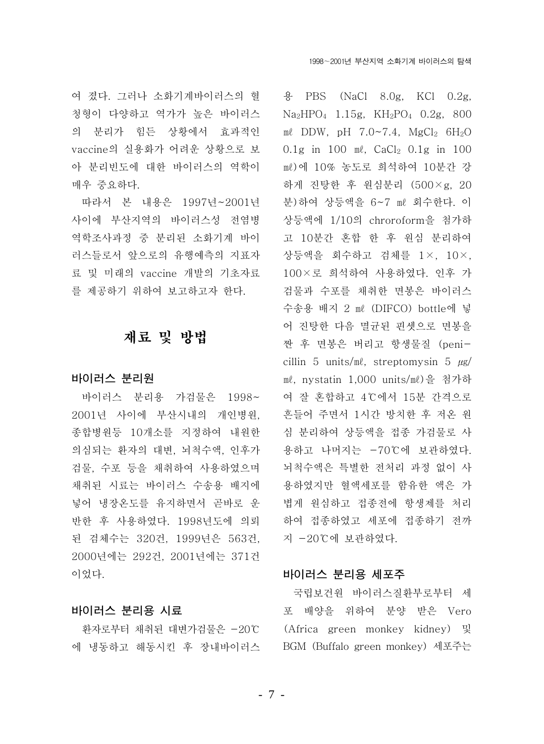여 졌다. 그러나 소화기계바이러스의 혈 청형이 다양하고 역가가 높은 바이러스 의 분리가 힘든 상황에서 효과적인 vaccine의 실용화가 어려운 상황으로 보 아 분리빈도에 대한 바이러스의 역학이 매우 중요하다.

따라서 본 내용은 1997년~2001년 사이에 부산지역의 바이러스성 전염병 역학조사과정 중 분리된 소화기계 바이 러스들로서 앞으로의 유행예측의 지표자 료 및 미래의 vaccine 개발의 기초자료 를 제공하기 위하여 보고하고자 한다.

### 재료 및 방법

#### 바이러스 분리원

바이러스 분리용 가검물은 1998~ 2001년 사이에 부산시내의 개인병원, 종합병원등 10개소를 지정하여 내원한 의심되는 환자의 대변, 뇌척수액, 인후가 검물, 수포 등을 채취하여 사용하였으며 채취된 시료는 바이러스 수송용 배지에 넣어 냉장온도를 유지하면서 곧바로 운 반한 후 사용하였다. 1998년도에 의뢰 된 검체수는 320건, 1999년은 563건, 2000년에는 292건, 2001년에는 371건 이었다.

#### 바이러스 분리용 시료

환자로부터 채취된 대변가검물은 -20℃ 에 냉동하고 해동시킨 후 장내바이러스

& PBS (NaCl 8.0g, KCl 0.2g,  $Na<sub>2</sub>HPO<sub>4</sub>$  1.15g,  $KH<sub>2</sub>PO<sub>4</sub>$  0.2g, 800 me DDW, pH  $7.0 \sim 7.4$ , MgCl<sub>2</sub>  $6H_2O$ 0.1g in 100 ml, CaCl<sub>2</sub> 0.1g in 100 ml)에 10% 농도로 희석하여 10분간 강 하게 진탕한 후 원심분리 (500×g, 20 분)하여 상등액을 6~7 ml 회수한다. 이 상등액에 1/10의 chroroform을 첨가하 고 10분간 혼합 한 후 원심 분리하여 상등액을 회수하고 검체를 1×, 10×, 100×로 희석하여 사용하였다. 인후 가 검물과 수포를 채취한 면봉은 바이러스 수송용 배지 2 ml (DIFCO) bottle에 넣 어 진탕한 다음 멸균된 핀셋으로 면봉을 짠 후 면봉은 버리고 항생물질 (penicillin 5 units/ml, streptomysin 5  $\mu$ g/ ml, nystatin 1,000 units/ml)을 첨가하 여 잘 혼합하고 4℃에서 15분 간격으로 흔들어 주면서 1시간 방치한 후 저온 원 심 분리하여 상등액을 접종 가검물로 사 용하고 나머지는 -70℃에 보관하였다. 뇌척수액은 특별한 전처리 과정 없이 사 용하였지만 혈액세포를 함유한 액은 가 볍게 워심하고 접종전에 항생제를 처리 하여 접종하였고 세포에 접종하기 전까 지 -20℃에 보관하였다.

#### 바이러스 분리용 세포주

국립보건원 바이러스질환부로부터 세 포 배양을 위하여 분양 받은 Vero (Africa green monkey kidney) 및 BGM (Buffalo green monkey) 세포주는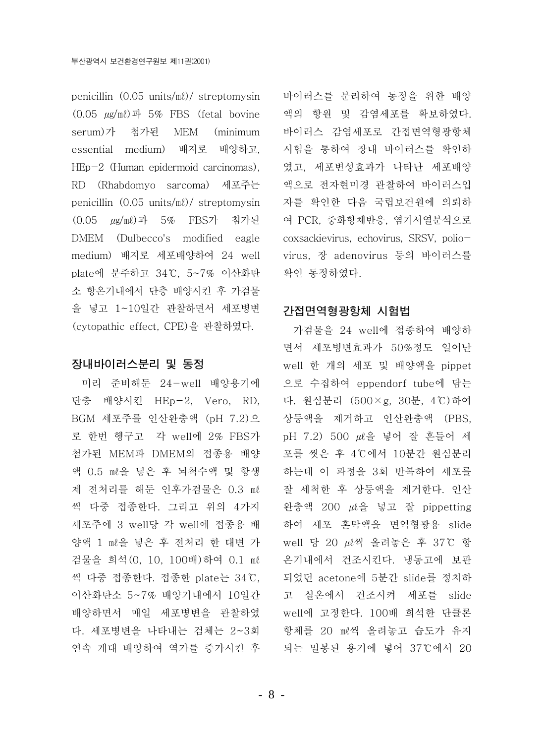penicillin  $(0.05 \text{ units/m})/$  streptomysin  $(0.05 \mu\text{g/m}\ell)$ 과 5% FBS (fetal bovine serum)가 첨가된 MEM (minimum essential medium) 배지로 배양하고, HEp-2 (Human epidermoid carcinomas). RD (Rhabdomyo sarcoma) 세포주는 penicillin  $(0.05 \text{ units/m})/$  streptomysin (0.05 μg/ml)과 5% FBS가 첨가된 DMEM (Dulbecco's modified eagle medium) 배지로 세포배양하여 24 well plate에 분주하고 34℃, 5~7% 이산화탄 소 항온기내에서 단층 배양시킨 후 가검물 을 넣고 1~10일간 관찰하면서 세포병변 (cytopathic effect, CPE)을 관찰하였다.

#### 장내바이러스분리 및 동정

미리 준비해둔 24-well 배양용기에 단층 배양시킨 HEp-2, Vero, RD, BGM 세포주를 인산완충액 (pH 7.2)으 로 한번 헹구고 각 well에 2% FBS가 첨가된 MEM과 DMEM의 접종용 배양 액 0.5 ml을 넣은 후 뇌척수액 및 항생 제 전처리를 해둔 인후가검물은 0.3 ml 씩 다중 접종하다. 그리고 위의 4가지 세포주에 3 well당 각 well에 접종용 배 양액 1 ml을 넣은 후 전처리 한 대변 가 검물을 희석 (0, 10, 100배) 하여 0.1 ml 씩 다중 접종한다. 접종한 plate는 34℃. 이산화탄소 5~7% 배양기내에서 10일간 배양하면서 매일 세포병변을 관찰하였 다. 세포병변을 나타내는 검체는 2~3회 연속 계대 배양하여 역가를 증가시킨 후

바이러스를 분리하여 동정을 위한 배양 액의 항원 및 감염세포를 확보하였다. 바이러스 감염세포로 간접면역형광항체 시험을 통하여 장내 바이러스를 확인하 였고. 세포변성효과가 나타난 세포배양 액으로 전자현미경 관찰하여 바이러스입 자를 확인한 다음 국립보건원에 의뢰하 여 PCR, 중화항체반응, 염기서열분석으로 coxsackievirus, echovirus, SRSV, poliovirus, 장 adenovirus 등의 바이러스를 확인 동정하였다.

#### 간접면역형광항체 시험법

가검물을 24 well에 접종하여 배양하 면서 세포병변효과가 50%정도 일어난 well 한 개의 세포 및 배양액을 pippet 으로 수집하여 eppendorf tube에 담는 다. 원심분리 (500×g, 30분, 4℃)하여 상등액을 제거하고 인산완충액 (PBS, pH 7.2) 500  $\mu \ell \frac{0}{2}$  넣어 잘 흔들어 세 포를 씻은 후 4℃에서 10분간 원심분리 하는데 이 과정을 3회 반복하여 세포를 잘 세척한 후 상등액을 제거한다. 인산 완충액 200  $\mu \triangleq$  넣고 잘 pippetting 하여 세포 혼탁액을 면역형광용 slide well 당 20 µ2씩 올려놓은 후 37℃ 항 온기내에서 건조시킨다. 냉동고에 보관 되었던 acetone에 5분간 slide를 정치하 고 실온에서 건조시켜 세포를 slide well에 고정한다. 100배 희석한 단클론 항체를 20 ml씩 올려놓고 습도가 유지 되는 밀봉된 용기에 넣어 37℃에서 20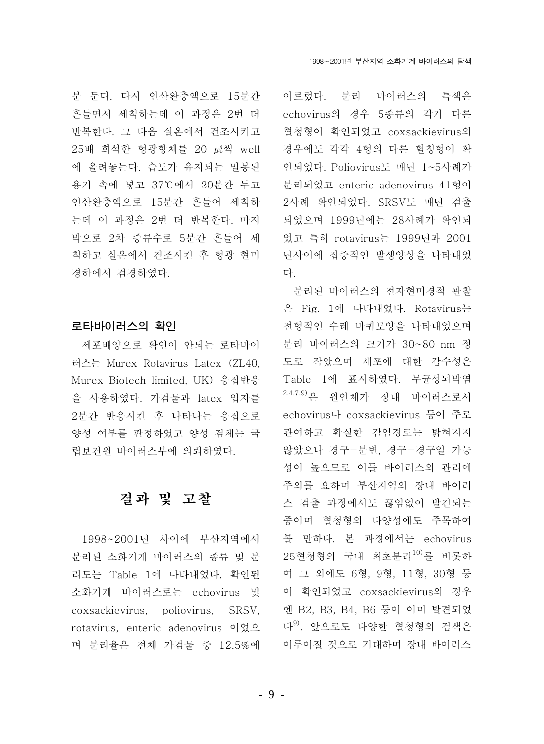분 두다. 다시 이사와충액으로 15분간 흔들면서 세척하는데 이 과정은 2번 더 반복한다. 그 다음 실온에서 건조시키고 25배 희석한 형광항체를 20  $\mu$  씩 well 에 올려놓는다. 습도가 유지되는 밀봉된 용기 속에 넣고 37℃에서 20분간 두고 인산완충액으로 15분간 흔들어 세척하 는데 이 과정은 2번 더 반복한다. 마지 막으로 2차 증류수로 5분간 흔들어 세 척하고 실온에서 건조시킨 후 형광 현미 경하에서 검경하였다.

### 로타바이러스의 확인

세포배양으로 확인이 안되는 로타바이 러스는 Murex Rotavirus Latex (ZL40. Murex Biotech limited. UK) 응집반응 을 사용하였다. 가검물과 latex 입자를 2분간 반응시킨 후 나타나는 응집으로 양성 여부를 판정하였고 양성 검체는 국 립보건원 바이러스부에 의뢰하였다.

## 결과 및 고찰

1998~2001년 사이에 부산지역에서 분리된 소화기계 바이러스의 종류 및 분 리도는 Table 1에 나타내었다. 확인된 소화기계 바이러스로는 echovirus 및 coxsackievirus, poliovirus, SRSV. rotavirus, enteric adenovirus 이었으 며 분리율은 전체 가검물 중 12.5%에

이르렀다. 분리 바이러스의 특색은 echovirus의 경우 5종류의 각기 다른 혈청형이 확인되었고 coxsackievirus의 경우에도 각각 4형의 다른 혈청형이 확 인되었다. Poliovirus도 매년 1~5사례가 부리되었고 enteric adenovirus 41형이 2사례 확인되었다. SRSV도 매년 검출 되었으며 1999년에는 28사례가 확인되 었고 특히 rotavirus는 1999년과 2001 년사이에 집중적인 발생양상을 나타내었 다

분리된 바이러스의 전자현미경적 관찰 은 Fig. 1에 나타내었다. Rotavirus는 전형적인 수레 바퀴모양을 나타내었으며 분리 바이러스의 크기가 30~80 nm 정 도로 작았으며 세포에 대한 감수성은 Table 1에 표시하였다. 무균성뇌막염 2,4,7,9)은 원인체가 장내 바이러스로서 echovirus나 coxsackievirus 등이 주로 관여하고 확실한 감염경로는 밝혀지지 않았으나 경구-분변, 경구-경구일 가능 성이 높으므로 이들 바이러스의 관리에 주의를 요하며 부산지역의 장내 바이러 스 검출 과정에서도 끊임없이 발견되는 중이며 혈청형의 다양성에도 주목하여 볼 만하다. 본 과정에서는 echovirus 25혈청형의 국내 최초분리10)를 비롯하 여 그 외에도 6형, 9형, 11형, 30형 등 이 확인되었고 coxsackievirus의 경우 엔 B2, B3, B4, B6 등이 이미 발견되었 다<sup>9)</sup>. 앞으로도 다양한 혈청형의 검색은 이루어질 것으로 기대하며 장내 바이러스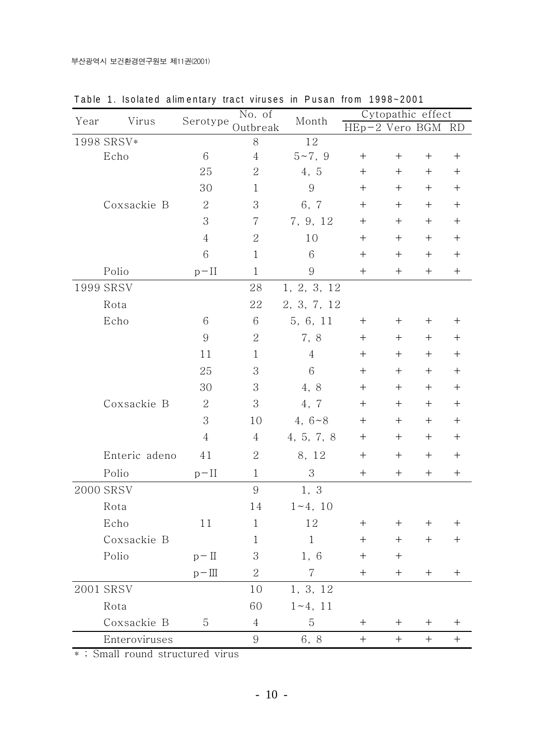| Year      | Virus         |                | No. of<br>Serotype Outbreak | Month            | Cytopathic effect |        |        |                                  |
|-----------|---------------|----------------|-----------------------------|------------------|-------------------|--------|--------|----------------------------------|
|           |               |                |                             |                  | HEp-2 Vero BGM    |        |        | RD                               |
|           | 1998 SRSV*    |                | $8\,$                       | $1\,2$           |                   |        |        |                                  |
|           | Echo          | 6              | $\overline{4}$              | $5 - 7, 9$       | $^{+}$            | $^{+}$ |        | $\boldsymbol{+}$                 |
|           |               | 25             | $\sqrt{2}$                  | 4, 5             | $^{+}$            | $^{+}$ | $^{+}$ | $\boldsymbol{+}$                 |
|           |               | 30             | $\mathbf{1}$                | $\boldsymbol{9}$ | $^{+}$            | $^{+}$ | $^+$   | $^{+}$                           |
|           | Coxsackie B   | $\overline{2}$ | 3                           | 6, 7             | $^{+}$            | $+$    | $^+$   | $\boldsymbol{+}$                 |
|           |               | 3              | $\overline{7}$              | 7, 9, 12         | $^{+}$            | $^{+}$ | $^{+}$ | $\boldsymbol{+}$                 |
|           |               | $\overline{4}$ | 2                           | 10               | $^{+}$            | $^{+}$ | $^+$   | $\boldsymbol{+}$                 |
|           |               | 6              | $\mathbf{1}$                | $6\,$            | $\mathrm{+}$      | $^{+}$ | $^{+}$ | $^{+}$                           |
|           | Polio         | $p-II$         | $\mathbf{1}$                | $\boldsymbol{9}$ | $^{+}$            | $^{+}$ | $^{+}$ | $\boldsymbol{+}$                 |
| 1999 SRSV |               |                | 28                          | 1, 2, 3, 12      |                   |        |        |                                  |
|           | Rota          |                | 22                          | 2, 3, 7, 12      |                   |        |        |                                  |
|           | Echo          | 6              | 6                           | 5, 6, 11         | $^{+}$            | $^{+}$ | $^{+}$ | $^{+}$                           |
|           |               | $\overline{9}$ | $\overline{2}$              | 7, 8             | $^{+}$            | $^{+}$ | $^+$   | $\! + \!$                        |
|           |               | 11             | $\mathbf{1}$                | $\overline{4}$   | $^{+}$            | $^{+}$ | $^{+}$ | $\! + \!$                        |
|           |               | 25             | 3                           | $\,6$            | $^{+}$            | $^{+}$ | $^+$   | $\boldsymbol{+}$                 |
|           |               | 30             | 3                           | 4, 8             | $^{+}$            | $^{+}$ | $^{+}$ | $\boldsymbol{+}$                 |
|           | Coxsackie B   | $\overline{2}$ | 3                           | 4, 7             | $^{+}$            | $^{+}$ | $^{+}$ | $^{+}$                           |
|           |               | 3              | 10                          | 4, $6 - 8$       | $^{+}$            | $^{+}$ | $^{+}$ | $\boldsymbol{+}$                 |
|           |               | $\,4\,$        | $\overline{4}$              | 4, 5, 7, 8       | $^{+}$            | $^{+}$ | $^{+}$ | $\begin{array}{c} + \end{array}$ |
|           | Enteric adeno | 41             | $\overline{2}$              | 8, 12            | $^{+}$            | $^{+}$ | $^+$   | $^{+}$                           |
|           | Polio         | $p-II$         | $\mathbf{1}$                | 3                | $^{+}$            | $^{+}$ | $^{+}$ | $^{+}$                           |
|           | 2000 SRSV     |                | $\boldsymbol{9}$            | 1, 3             |                   |        |        |                                  |
|           | Rota          |                | 14                          | $1 - 4, 10$      |                   |        |        |                                  |
|           | Echo          | 11             | $\mathbf{1}$                | 12               | $^{+}$            | $^+$   | $^{+}$ | $^+$                             |
|           | Coxsackie B   |                | 1                           | $\mathbf{1}$     | $^{+}$            | $^{+}$ | $^+$   | $^{+}$                           |
|           | Polio         | $p - \Pi$      | 3                           | 1, 6             | $^{+}$            | $^{+}$ |        |                                  |
|           |               | $p-\Pi$        | $\overline{2}$              | 7                | $^{+}$            | $+$    | $^+$   | $^+$                             |
|           | 2001 SRSV     |                | 10                          | 1, 3, 12         |                   |        |        |                                  |
|           | Rota          |                | 60                          | $1 - 4, 11$      |                   |        |        |                                  |
|           | Coxsackie B   | 5              | $\overline{4}$              | 5                | $^{+}$            | $^+$   | $^+$   | $^+$                             |
|           | Enteroviruses |                | 9                           | 6, 8             | $^{+}$            | $+$    | $^{+}$ | $\boldsymbol{+}$                 |

Table 1. Isolated alimentary tract viruses in Pusan from 1998~2001

\*; Small round structured virus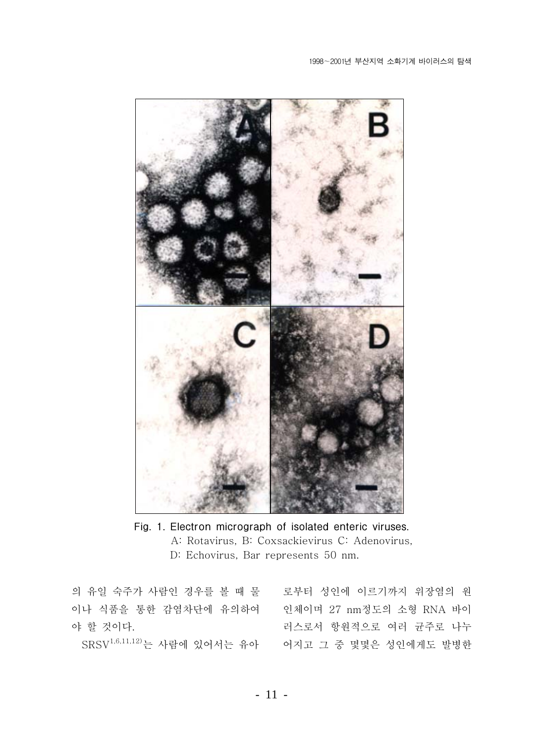

Fig. 1. Electron micrograph of isolated enteric viruses. A: Rotavirus, B: Coxsackievirus C: Adenovirus, D: Echovirus, Bar represents 50 nm.

의 유일 숙주가 사람인 경우를 볼 때 물 로부터 성인에 이르기까지 위장염의 원 야 할 것이다.

이나 식품을 통한 감염차단에 유의하여 인체이며 27 nm정도의 소형 RNA 바이 러스로서 항워적으로 여러 규주로 나누 SRSV<sup>1,6,11,12)</sup>는 사람에 있어서는 유아 <br 여지고 그 중 몇몇은 성인에게도 발병한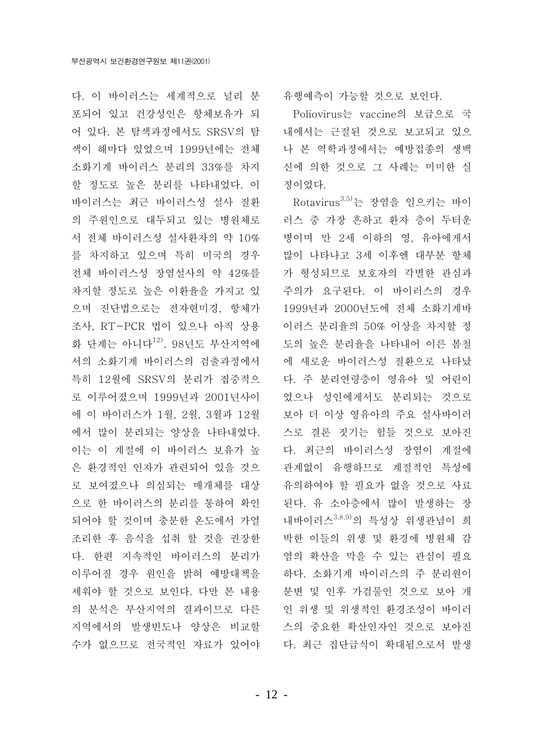다. 이 바이러스는 세계적으로 널리 분 포되어 있고 건강성인은 항체보유가 되 어 있다. 본 탐색과정에서도 SRSV의 탐 색이 해마다 있었으며 1999년에는 전체 소화기계 바이러스 분리의 33%를 차지 할 정도로 높은 분리를 나타내었다. 이 바이러스는 최근 바이러스성 설사 질환 의 주원인으로 대두되고 있는 병원체로 서 전체 바이러스성 설사환자의 약 10% 를 차지하고 있으며 특히 미국의 경우 전체 바이러스성 장염설사의 약 42%를 차지할 정도로 높은 이환율을 가지고 있 으며 진단법으로는 전자현미경, 항체가 조사, RT-PCR 법이 있으나 아직 상용 화 단계는 아니다<sup>12)</sup>. 98년도 부산지역에 서의 소화기계 바이러스의 검출과정에서 특히 12월에 SRSV의 분리가 집중적으 로 이루어졌으며 1999년과 2001년사이 에 이 바이러스가 1월, 2월, 3월과 12월 에서 많이 분리되는 양상을 나타내었다. 이는 이 계절에 이 바이러스 보유가 높 은 환경적인 인자가 관련되어 있을 것으 로 보여졌으나 의심되는 매개체를 대상 으로 한 바이러스의 분리를 통하여 확인 되어야 할 것이며 충분한 온도에서 가열 조리한 후 음식을 섭취 할 것을 권장한 다. 한편 지속적인 바이러스의 분리가 이루어질 경우 원인을 밝혀 예방대책을 세워야 할 것으로 보인다. 다만 본 내용 의 분석은 부산지역의 결과이므로 다른 지역에서의 발생빈도나 양상은 비교할 수가 없으므로 전국적인 자료가 있어야

유행예측이 가능할 것으로 보이다.

Poliovirus는 vaccine의 보급으로 국 내에서는 근절된 것으로 보고되고 있으 나 본 역학과정에서는 예방접종의 생백 신에 의한 것으로 그 사례는 미미한 실 정이었다.

Rotavirus<sup>3,5)</sup>는 장염을 일으키는 바이 러스 중 가장 흔하고 환자 층이 두터운 병이며 만 2세 이하의 영, 유아에게서 많이 나타나고 3세 이후엔 대부분 항체 가 형성되므로 보호자의 각별한 관심과 주의가 요구된다. 이 바이러스의 경우 1999년과 2000년도에 전체 소화기계바 이러스 분리율의 50% 이상을 차지할 정 도의 높은 분리율을 나타내어 이른 봄철 에 새로운 바이러스성 질환으로 나타났 다. 주 분리연령층이 영유아 및 어린이 였으나 성인에게서도 분리되는 것으로 보아 더 이상 영유아의 주요 설사바이러 스로 결론 짓기는 힘들 것으로 보아진 다. 최근의 바이러스성 장염이 계절에 관계없이 유행하므로 계절적인 특성에 유의하여야 할 필요가 없을 것으로 사료 된다. 유 소아층에서 많이 발생하는 장 내바이러스3,8,9)의 특성상 위생관념이 희 박한 이들의 위생 및 환경에 병원체 감 염의 확산을 막을 수 있는 관심이 필요 하다. 소화기계 바이러스의 주 분리원이 분변 및 인후 가검물인 것으로 보아 개 인 위생 및 위생적인 환경조성이 바이러 스의 중요한 확산인자인 것으로 보아진 다. 최근 집단급식이 확대됨으로서 발생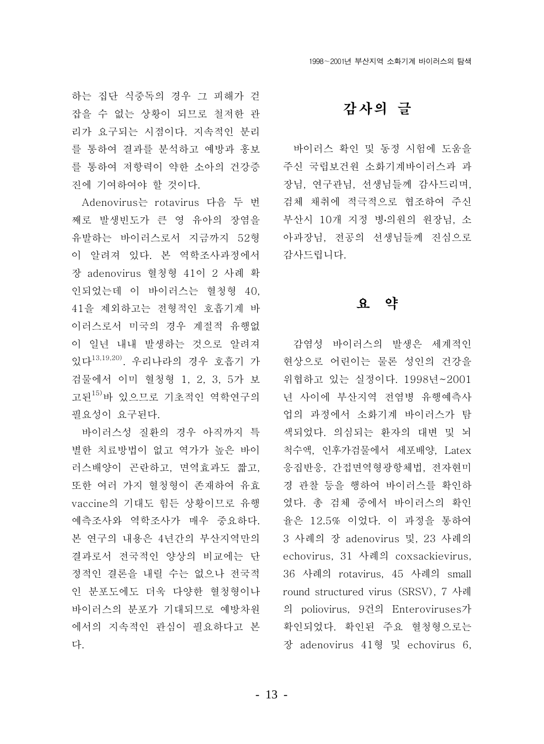하는 집단 식중독의 경우 그 피해가 걷 잡을 수 없는 상황이 되므로 철저한 관 리가 요구되는 시점이다. 지속적인 분리 를 통하여 결과를 분석하고 예방과 홍보 를 통하여 저항력이 약한 소아의 건강증 진에 기여하여야 할 것이다.

Adenovirus는 rotavirus 다음 두 번 째로 발생빈도가 큰 영 유아의 장염을 유발하는 바이러스로서 지금까지 52형 이 알려져 있다. 본 역학조사과정에서 장 adenovirus 혈청형 41이 2 사례 확 인되었는데 이 바이러스는 혈청형 40. 41을 제외하고는 전형적인 호흡기계 바 이러스로서 미국의 경우 계절적 유행없 이 일년 내내 발생하는 것으로 알려져 있다<sup>13,19,20)</sup>. 우리나라의 경우 호흡기 가<br>
현상으로 어린이는 물론 성인의 건강을 검물에서 이미 혈청형 1, 2, 3, 5가 보 고된<sup>15)</sup>바 있으므로 기초적인 역학연구의 필요성이 요구된다.

바이러스성 질환의 경우 아직까지 특 별한 치료방법이 없고 역가가 높은 바이 러스배양이 곤란하고, 면역효과도 짧고, 또한 여러 가지 혈청형이 존재하여 유효 vaccine의 기대도 힘든 상황이므로 유행 예측조사와 역학조사가 매우 중요하다. 본 연구의 내용은 4년간의 부산지역만의 결과로서 전국적인 양상의 비교에는 단 정적인 결론을 내릴 수는 없으나 전국적 인 분포도에도 더욱 다양한 혈청형이나 바이러스의 분포가 기대되므로 예방차워 에서의 지속적인 관심이 필요하다고 본 다.

### 감사의 글

바이러스 확인 및 동정 시험에 도움을 주신 국립보건원 소화기계바이러스과 과 장님, 연구관님, 선생님들께 감사드리며, 검체 채취에 적극적으로 협조하여 주신 부산시 10개 지정 병의원의 원장님, 소 아과장님, 전공의 선생님들께 진심으로 감사드립니다.

### 요 약

감염성 바이러스의 발생은 세계적인 위협하고 있는 실정이다. 1998년~2001 년 사이에 부산지역 전염병 유행예측사 업의 과정에서 소화기계 바이러스가 탐 색되었다. 의심되는 환자의 대변 및 뇌 척수액, 인후가검물에서 세포배양, Latex 응집반응, 간접면역형광항체법, 전자현미 경 관찰 등을 행하여 바이러스를 확인하 였다. 총 검체 중에서 바이러스의 확인 율은 12.5% 이었다. 이 과정을 통하여 3 사례의 장 adenovirus 및, 23 사례의 echovirus, 31 사례의 coxsackievirus, 36 사례의 rotavirus, 45 사례의 small round structured virus (SRSV), 7 사례 의 poliovirus, 9건의 Enteroviruses가 확인되었다. 확인된 주요 혈청형으로는 장 adenovirus 41형 및 echovirus 6,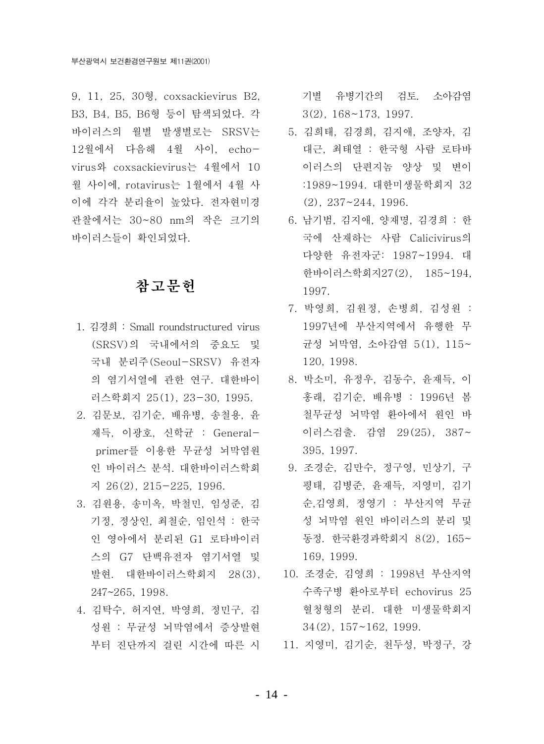9, 11, 25, 30형, coxsackievirus B2, B3, B4, B5, B6형 등이 탐색되었다. 각 바이러스의 월별 발생별로는 SRSV는 5. 김희태, 김경희, 김지애, 조양자, 김 12월에서 다음해 4월 사이, echovirus와 coxsackievirus는 4월에서 10 월 사이에. rotavirus는 1월에서 4월 사 이에 각각 분리율이 높았다. 전자현미경 관찰에서는 30~80 nm의 작은 크기의 6. 남기범, 김지애, 양재명, 김경희 : 한 바이러스들이 확인되었다.

### 참고무헌

- 1. 김경희 : Small roundstructured virus (SRSV)의 국내에서의 중요도 및 국내 분리주(Seoul-SRSV) 유전자 의 염기서열에 관한 연구. 대한바이 8. 박소미. 유정우, 김동수, 유재득. 이 러스학회지 25(1), 23-30, 1995.
- 2. 김문보, 김기순, 배유병, 송철용, 윤 재득, 이광호, 신학균 : Generalprimer를 이용한 무균성 뇌막염원 지 26(2), 215-225, 1996.
- 3. 김원용, 송미옥, 박철민, 임성준, 김 기정, 정상인, 최철순, 임인석 : 한국 인 영아에서 분리된 G1 로타바이러 스의 G7 단백유전자 염기서열 및 발현. 대한바이러스학회지 28(3), 247~265, 1998.
- 4. 김탁수, 허지연, 박영희, 정민구, 김 성원 : 무균성 뇌막염에서 증상발현

기별 유병기간의 검토. 소아감염  $3(2)$ ,  $168 \sim 173$ , 1997.

- 대근, 최태열 : 한국형 사람 로타바 이러스의 단편지놈 양상 및 변이 :1989~1994. 대한미생물학회지 32  $(2), 237 - 244, 1996.$
- 국에 산재하는 사람 Calicivirus의 다양한 유전자군: 1987~1994. 대 한바이러스학회지27(2). 185~194. 1997.
- 7. 박영희, 김원정, 손병희, 김성원 : 1997년에 부산지역에서 유행한 무 균성 뇌막염, 소아감염 5(1), 115~ 120. 1998.
- 홍래, 김기순, 배유병 : 1996년 봄 철무균성 뇌막염 환아에서 원인 바 이러스검출. 감염 29(25), 387~ 395, 1997.
- 인 바이러스 분석. 대한바이러스학회 9. 조경순, 김만수, 정구영, 민상기, 구 평태, 김병준, 윤재득, 지영미, 김기 순.김영희, 정영기 : 부산지역 무규 성 뇌막염 원인 바이러스의 분리 및 동정. 한국환경과학회지 8(2), 165~ 169, 1999.
	- 10. 조경순, 김영희 : 1998년 부산지역 수족구병 환아로부터 echovirus 25 혈청형의 분리. 대한 미생물학회지  $34(2)$ ,  $157 \sim 162$ , 1999.
- 부터 진단까지 걸린 시간에 따른 시 11. 지영미, 김기순, 천두성, 박정구, 강